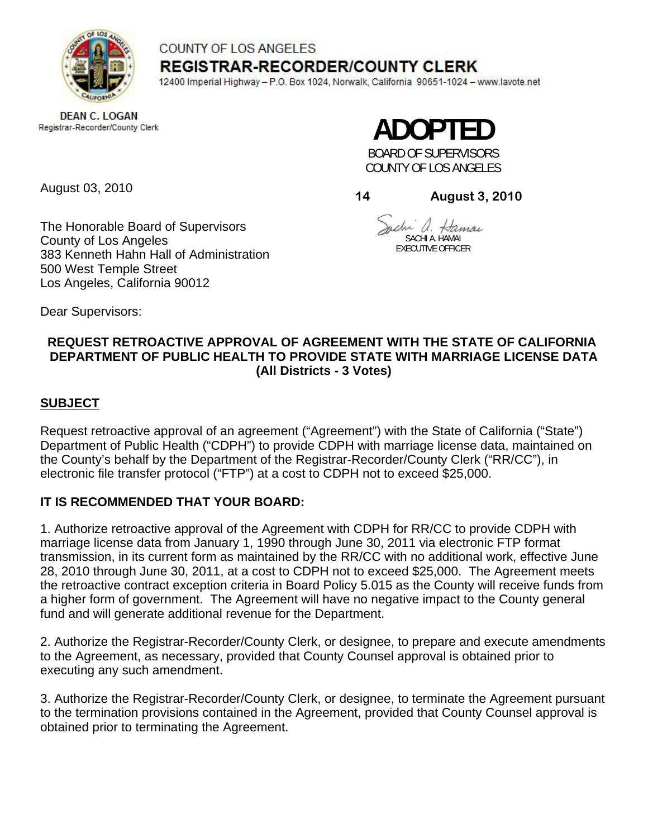

# COUNTY OF LOS ANGELES **REGISTRAR-RECORDER/COUNTY CLERK**

12400 Imperial Highway - P.O. Box 1024, Norwalk, California 90651-1024 - www.lavote.net

**DEAN C. LOGAN** Registrar-Recorder/County Clerk

**ADOPTED** 

BOARD OF SUPERVISORS COUNTY OF LOS ANGELES

August 03, 2010

**14 August 3, 2010**

The Honorable Board of Supervisors County of Los Angeles 383 Kenneth Hahn Hall of Administration 500 West Temple Street Los Angeles, California 90012

chi a. Hamai SACHI A. HAMAI

EXECUTIVE OFFICER

Dear Supervisors:

# **REQUEST RETROACTIVE APPROVAL OF AGREEMENT WITH THE STATE OF CALIFORNIA DEPARTMENT OF PUBLIC HEALTH TO PROVIDE STATE WITH MARRIAGE LICENSE DATA (All Districts - 3 Votes)**

**SUBJECT**

Request retroactive approval of an agreement ("Agreement") with the State of California ("State") Department of Public Health ("CDPH") to provide CDPH with marriage license data, maintained on the County's behalf by the Department of the Registrar-Recorder/County Clerk ("RR/CC"), in electronic file transfer protocol ("FTP") at a cost to CDPH not to exceed \$25,000.

# **IT IS RECOMMENDED THAT YOUR BOARD:**

1. Authorize retroactive approval of the Agreement with CDPH for RR/CC to provide CDPH with marriage license data from January 1, 1990 through June 30, 2011 via electronic FTP format transmission, in its current form as maintained by the RR/CC with no additional work, effective June 28, 2010 through June 30, 2011, at a cost to CDPH not to exceed \$25,000. The Agreement meets the retroactive contract exception criteria in Board Policy 5.015 as the County will receive funds from a higher form of government. The Agreement will have no negative impact to the County general fund and will generate additional revenue for the Department.

2. Authorize the Registrar-Recorder/County Clerk, or designee, to prepare and execute amendments to the Agreement, as necessary, provided that County Counsel approval is obtained prior to executing any such amendment.

3. Authorize the Registrar-Recorder/County Clerk, or designee, to terminate the Agreement pursuant to the termination provisions contained in the Agreement, provided that County Counsel approval is obtained prior to terminating the Agreement.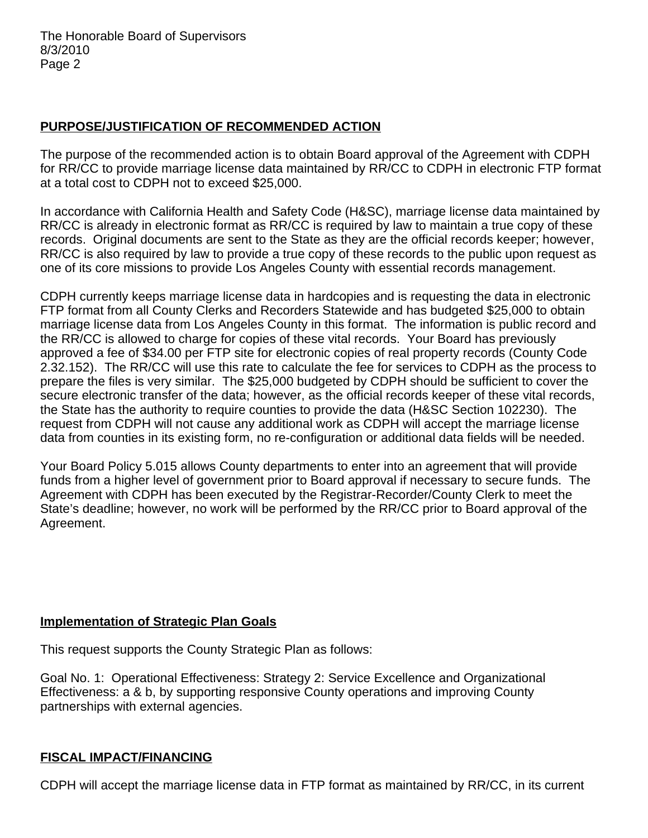# **PURPOSE/JUSTIFICATION OF RECOMMENDED ACTION**

The purpose of the recommended action is to obtain Board approval of the Agreement with CDPH for RR/CC to provide marriage license data maintained by RR/CC to CDPH in electronic FTP format at a total cost to CDPH not to exceed \$25,000.

In accordance with California Health and Safety Code (H&SC), marriage license data maintained by RR/CC is already in electronic format as RR/CC is required by law to maintain a true copy of these records. Original documents are sent to the State as they are the official records keeper; however, RR/CC is also required by law to provide a true copy of these records to the public upon request as one of its core missions to provide Los Angeles County with essential records management.

CDPH currently keeps marriage license data in hardcopies and is requesting the data in electronic FTP format from all County Clerks and Recorders Statewide and has budgeted \$25,000 to obtain marriage license data from Los Angeles County in this format. The information is public record and the RR/CC is allowed to charge for copies of these vital records. Your Board has previously approved a fee of \$34.00 per FTP site for electronic copies of real property records (County Code 2.32.152). The RR/CC will use this rate to calculate the fee for services to CDPH as the process to prepare the files is very similar. The \$25,000 budgeted by CDPH should be sufficient to cover the secure electronic transfer of the data; however, as the official records keeper of these vital records, the State has the authority to require counties to provide the data (H&SC Section 102230). The request from CDPH will not cause any additional work as CDPH will accept the marriage license data from counties in its existing form, no re-configuration or additional data fields will be needed.

Your Board Policy 5.015 allows County departments to enter into an agreement that will provide funds from a higher level of government prior to Board approval if necessary to secure funds. The Agreement with CDPH has been executed by the Registrar-Recorder/County Clerk to meet the State's deadline; however, no work will be performed by the RR/CC prior to Board approval of the Agreement.

# **Implementation of Strategic Plan Goals**

This request supports the County Strategic Plan as follows:

Goal No. 1: Operational Effectiveness: Strategy 2: Service Excellence and Organizational Effectiveness: a & b, by supporting responsive County operations and improving County partnerships with external agencies.

## **FISCAL IMPACT/FINANCING**

CDPH will accept the marriage license data in FTP format as maintained by RR/CC, in its current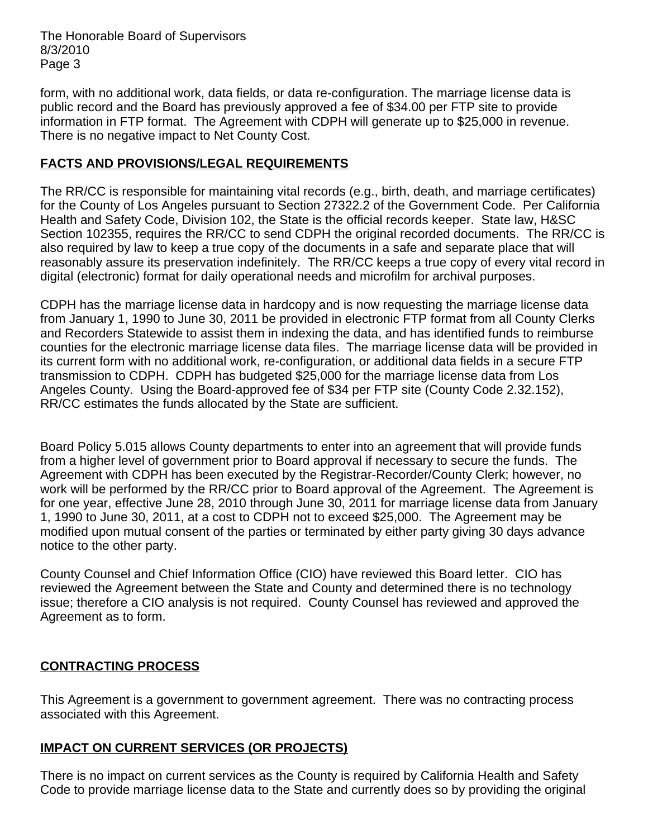The Honorable Board of Supervisors 8/3/2010 Page 3

form, with no additional work, data fields, or data re-configuration. The marriage license data is public record and the Board has previously approved a fee of \$34.00 per FTP site to provide information in FTP format. The Agreement with CDPH will generate up to \$25,000 in revenue. There is no negative impact to Net County Cost.

# **FACTS AND PROVISIONS/LEGAL REQUIREMENTS**

The RR/CC is responsible for maintaining vital records (e.g., birth, death, and marriage certificates) for the County of Los Angeles pursuant to Section 27322.2 of the Government Code. Per California Health and Safety Code, Division 102, the State is the official records keeper. State law, H&SC Section 102355, requires the RR/CC to send CDPH the original recorded documents. The RR/CC is also required by law to keep a true copy of the documents in a safe and separate place that will reasonably assure its preservation indefinitely. The RR/CC keeps a true copy of every vital record in digital (electronic) format for daily operational needs and microfilm for archival purposes.

CDPH has the marriage license data in hardcopy and is now requesting the marriage license data from January 1, 1990 to June 30, 2011 be provided in electronic FTP format from all County Clerks and Recorders Statewide to assist them in indexing the data, and has identified funds to reimburse counties for the electronic marriage license data files. The marriage license data will be provided in its current form with no additional work, re-configuration, or additional data fields in a secure FTP transmission to CDPH. CDPH has budgeted \$25,000 for the marriage license data from Los Angeles County. Using the Board-approved fee of \$34 per FTP site (County Code 2.32.152), RR/CC estimates the funds allocated by the State are sufficient.

Board Policy 5.015 allows County departments to enter into an agreement that will provide funds from a higher level of government prior to Board approval if necessary to secure the funds. The Agreement with CDPH has been executed by the Registrar-Recorder/County Clerk; however, no work will be performed by the RR/CC prior to Board approval of the Agreement. The Agreement is for one year, effective June 28, 2010 through June 30, 2011 for marriage license data from January 1, 1990 to June 30, 2011, at a cost to CDPH not to exceed \$25,000. The Agreement may be modified upon mutual consent of the parties or terminated by either party giving 30 days advance notice to the other party.

County Counsel and Chief Information Office (CIO) have reviewed this Board letter. CIO has reviewed the Agreement between the State and County and determined there is no technology issue; therefore a CIO analysis is not required. County Counsel has reviewed and approved the Agreement as to form.

## **CONTRACTING PROCESS**

This Agreement is a government to government agreement. There was no contracting process associated with this Agreement.

## **IMPACT ON CURRENT SERVICES (OR PROJECTS)**

There is no impact on current services as the County is required by California Health and Safety Code to provide marriage license data to the State and currently does so by providing the original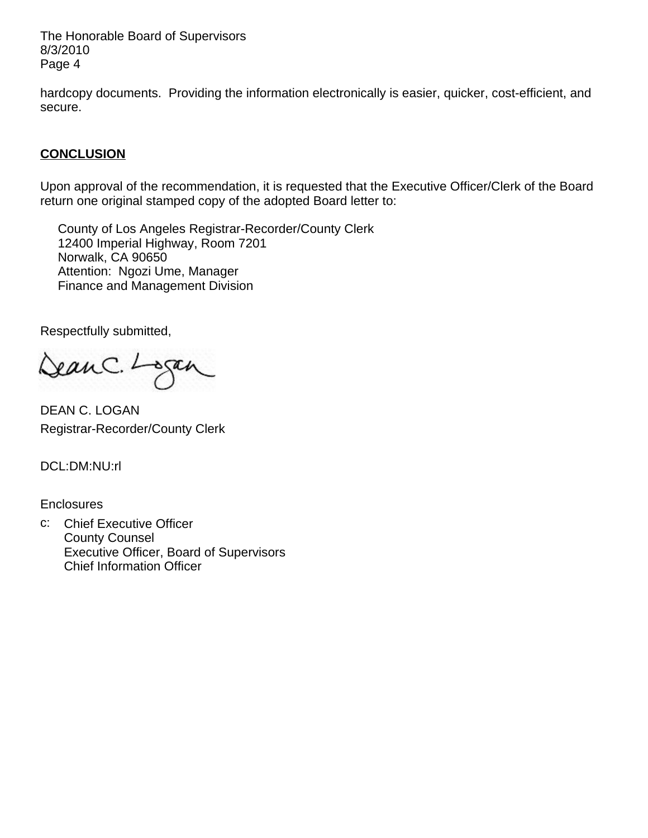The Honorable Board of Supervisors 8/3/2010 Page 4

hardcopy documents. Providing the information electronically is easier, quicker, cost-efficient, and secure.

# **CONCLUSION**

Upon approval of the recommendation, it is requested that the Executive Officer/Clerk of the Board return one original stamped copy of the adopted Board letter to:

 County of Los Angeles Registrar-Recorder/County Clerk 12400 Imperial Highway, Room 7201 Norwalk, CA 90650 Attention: Ngozi Ume, Manager Finance and Management Division

Respectfully submitted,

ean C. Logan

DEAN C. LOGAN Registrar-Recorder/County Clerk

DCL:DM:NU:rl

**Enclosures** 

c: Chief Executive Officer County Counsel Executive Officer, Board of Supervisors Chief Information Officer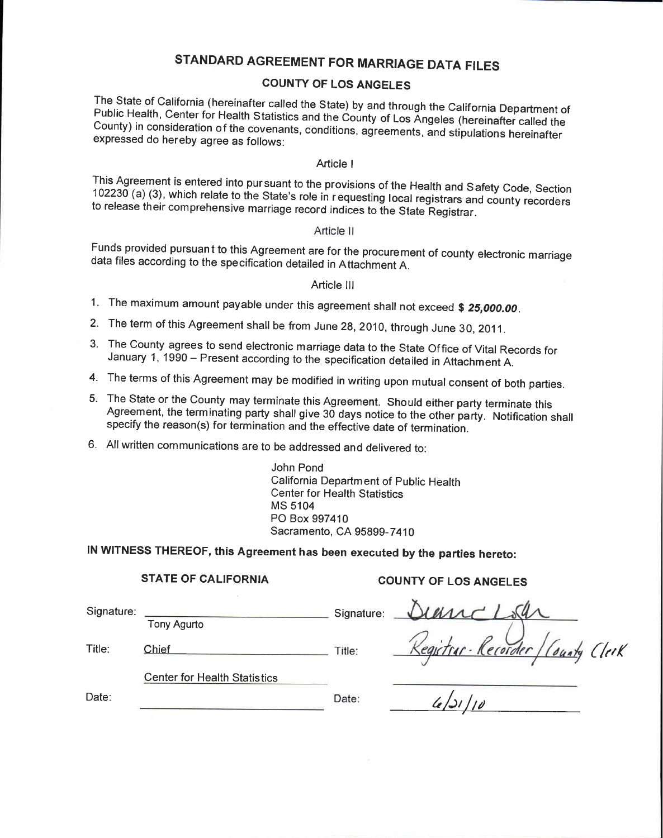# STANDARD AGREEMENT FOR MARRIAGE DATA FILES

### **COUNTY OF LOS ANGELES**

The State of California (hereinafter called the State) by and through the California Department of Public Health, Center for Health Statistics and the County of Los Angeles (hereinafter called the County) in consideration of the covenants, conditions, agreements, and stipulations hereinafter expressed do hereby agree as follows:

#### Article I

This Agreement is entered into pur suant to the provisions of the Health and Safety Code, Section 102230 (a) (3), which relate to the State's role in requesting local registrars and county recorders to release their comprehensive marriage record indices to the State Registrar.

#### Article II

Funds provided pursuant to this Agreement are for the procurement of county electronic marriage data files according to the specification detailed in Attachment A.

#### Article III

- 1. The maximum amount payable under this agreement shall not exceed \$ 25,000.00.
- 2. The term of this Agreement shall be from June 28, 2010, through June 30, 2011.
- 3. The County agrees to send electronic marriage data to the State Office of Vital Records for January 1, 1990 - Present according to the specification detailed in Attachment A.
- 4. The terms of this Agreement may be modified in writing upon mutual consent of both parties.
- 5. The State or the County may terminate this Agreement. Should either party terminate this Agreement, the terminating party shall give 30 days notice to the other party. Notification shall specify the reason(s) for termination and the effective date of termination.
- 6. All written communications are to be addressed and delivered to:

John Pond California Department of Public Health **Center for Health Statistics MS 5104** PO Box 997410 Sacramento, CA 95899-7410

Date:

# IN WITNESS THEREOF, this Agreement has been executed by the parties hereto:

#### **STATE OF CALIFORNIA**

#### **COUNTY OF LOS ANGELES**

| Signature: |                                     | Signature: |  |
|------------|-------------------------------------|------------|--|
|            | <b>Tony Agurto</b>                  |            |  |
| Title:     | Chief                               | Title:     |  |
|            | <b>Center for Health Statistics</b> |            |  |

uncloan<br>vitur-Recorder / County Clerk<br>4/21/10

Date: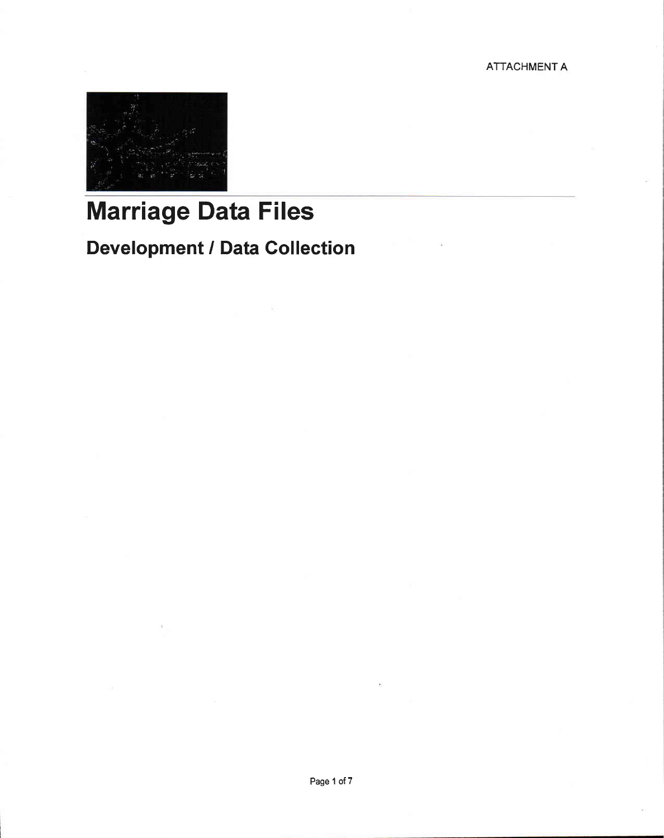**ATTACHMENT A** 



# **Marriage Data Files**

# **Development / Data Collection**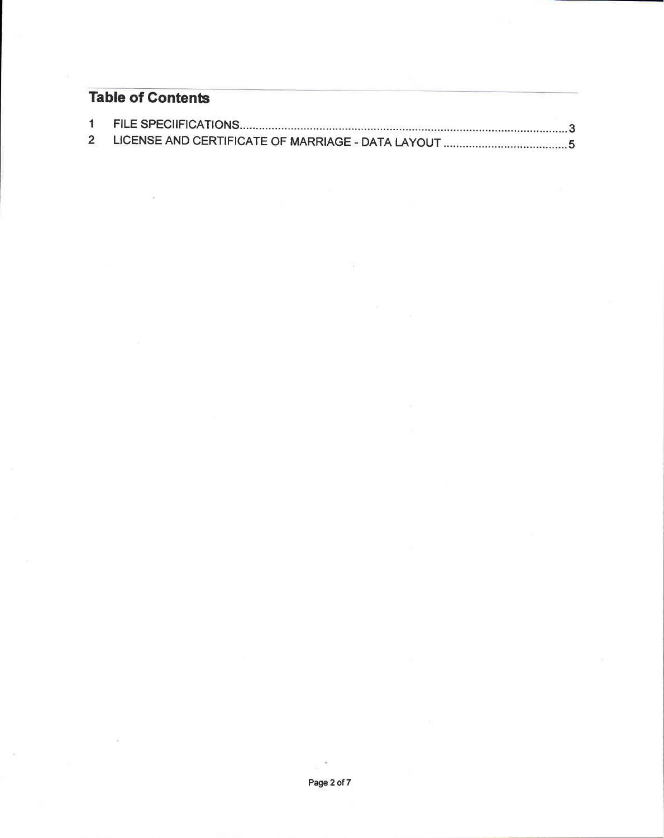# **Table of Contents**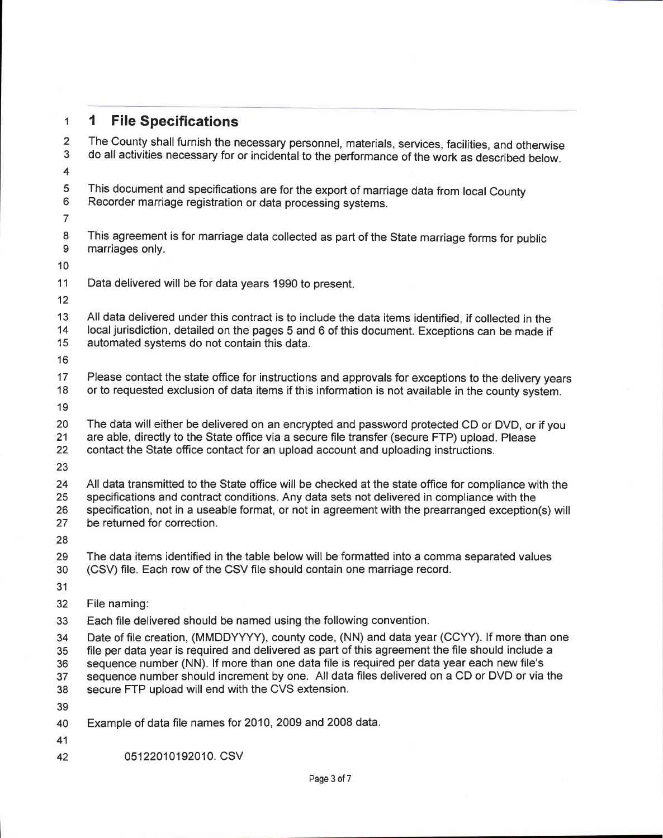#### 1 File Specifications  $\mathbf{1}$

The County shall furnish the necessary personnel, materials, services, facilities, and otherwise  $\overline{2}$  $\mathbf{R}$ do all activities necessary for or incidental to the performance of the work as described below.  $\overline{4}$ 5 This document and specifications are for the export of marriage data from local County 6 Recorder marriage registration or data processing systems.  $\overline{7}$ 8 This agreement is for marriage data collected as part of the State marriage forms for public 9 marriages only.  $10<sup>1</sup>$  $11$ Data delivered will be for data years 1990 to present.  $12<sup>7</sup>$  $13<sup>1</sup>$ All data delivered under this contract is to include the data items identified, if collected in the local iurisdiction, detailed on the pages 5 and 6 of this document. Exceptions can be made if  $14$ 15 automated systems do not contain this data. 16 17 Please contact the state office for instructions and approvals for exceptions to the delivery years 18 or to requested exclusion of data items if this information is not available in the county system. 19 20 The data will either be delivered on an encrypted and password protected CD or DVD, or if you  $21$ are able, directly to the State office via a secure file transfer (secure FTP) upload. Please 22 contact the State office contact for an upload account and uploading instructions. 23 24 All data transmitted to the State office will be checked at the state office for compliance with the specifications and contract conditions. Any data sets not delivered in compliance with the 25 26 specification, not in a useable format, or not in agreement with the prearranged exception(s) will be returned for correction. 27 28 29 The data items identified in the table below will be formatted into a comma separated values (CSV) file. Each row of the CSV file should contain one marriage record. 30  $31$  $32<sup>2</sup>$ File naming: 33 Each file delivered should be named using the following convention. Date of file creation. (MMDDYYYY), county code, (NN) and data year (CCYY), If more than one 34 file per data year is required and delivered as part of this agreement the file should include a 35 sequence number (NN). If more than one data file is required per data year each new file's  $36<sup>°</sup>$ sequence number should increment by one. All data files delivered on a CD or DVD or via the 37 secure FTP upload will end with the CVS extension. 38 39 Example of data file names for 2010, 2009 and 2008 data. 40 41

05122010192010. CSV 42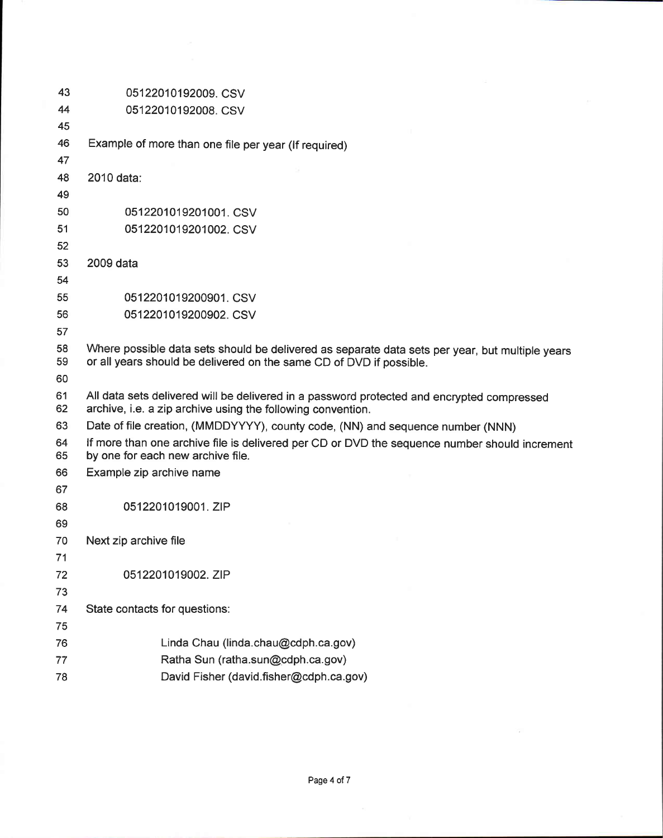| 43       | 05122010192009. CSV                                                                                                                                       |  |
|----------|-----------------------------------------------------------------------------------------------------------------------------------------------------------|--|
| 44       | 05122010192008. CSV                                                                                                                                       |  |
| 45       |                                                                                                                                                           |  |
| 46       | Example of more than one file per year (If required)                                                                                                      |  |
| 47       |                                                                                                                                                           |  |
| 48       | 2010 data:                                                                                                                                                |  |
| 49       |                                                                                                                                                           |  |
| 50       | 0512201019201001. CSV                                                                                                                                     |  |
| 51       | 0512201019201002. CSV                                                                                                                                     |  |
| 52       |                                                                                                                                                           |  |
| 53       | 2009 data                                                                                                                                                 |  |
| 54       |                                                                                                                                                           |  |
| 55       | 0512201019200901, CSV                                                                                                                                     |  |
| 56       | 0512201019200902. CSV                                                                                                                                     |  |
| 57       |                                                                                                                                                           |  |
| 58       | Where possible data sets should be delivered as separate data sets per year, but multiple years                                                           |  |
| 59       | or all years should be delivered on the same CD of DVD if possible.                                                                                       |  |
| 60       |                                                                                                                                                           |  |
| 61<br>62 | All data sets delivered will be delivered in a password protected and encrypted compressed<br>archive, i.e. a zip archive using the following convention. |  |
| 63       | Date of file creation, (MMDDYYYY), county code, (NN) and sequence number (NNN)                                                                            |  |
| 64<br>65 | If more than one archive file is delivered per CD or DVD the sequence number should increment<br>by one for each new archive file.                        |  |
| 66       | Example zip archive name                                                                                                                                  |  |
| 67       |                                                                                                                                                           |  |
| 68       | 0512201019001. ZIP                                                                                                                                        |  |
| 69       |                                                                                                                                                           |  |
| 70       | Next zip archive file                                                                                                                                     |  |
| 71       |                                                                                                                                                           |  |
| 72       | 0512201019002. ZIP                                                                                                                                        |  |
| 73       |                                                                                                                                                           |  |
| 74       | State contacts for questions:                                                                                                                             |  |
| 75       |                                                                                                                                                           |  |
| 76       | Linda Chau (linda.chau@cdph.ca.gov)                                                                                                                       |  |
| 77       | Ratha Sun (ratha.sun@cdph.ca.gov)                                                                                                                         |  |
| 78       | David Fisher (david.fisher@cdph.ca.gov)                                                                                                                   |  |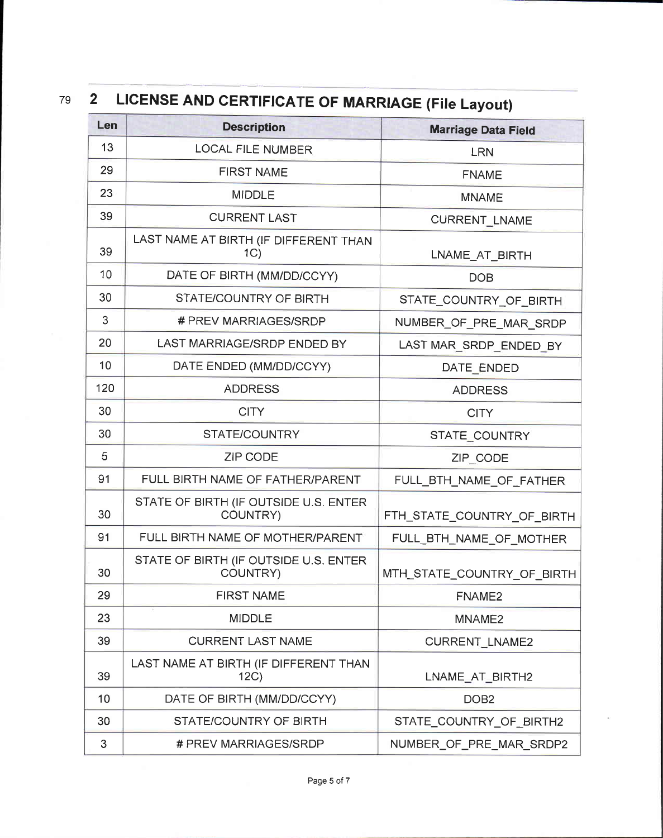# 79

### LICENSE AND CERTIFICATE OF MARRIAGE (File Layout)  $\overline{2}$

| Len | <b>Description</b>                                | <b>Marriage Data Field</b> |  |
|-----|---------------------------------------------------|----------------------------|--|
| 13  | LOCAL FILE NUMBER                                 | <b>LRN</b>                 |  |
| 29  | <b>FIRST NAME</b>                                 | <b>FNAME</b>               |  |
| 23  | <b>MIDDLE</b>                                     | <b>MNAME</b>               |  |
| 39  | <b>CURRENT LAST</b>                               | <b>CURRENT_LNAME</b>       |  |
| 39  | LAST NAME AT BIRTH (IF DIFFERENT THAN<br>1C)      | LNAME_AT_BIRTH             |  |
| 10  | DATE OF BIRTH (MM/DD/CCYY)                        | <b>DOB</b>                 |  |
| 30  | STATE/COUNTRY OF BIRTH                            | STATE_COUNTRY_OF_BIRTH     |  |
| 3   | # PREV MARRIAGES/SRDP                             | NUMBER_OF_PRE_MAR_SRDP     |  |
| 20  | LAST MARRIAGE/SRDP ENDED BY                       | LAST MAR_SRDP_ENDED_BY     |  |
| 10  | DATE ENDED (MM/DD/CCYY)                           | DATE ENDED                 |  |
| 120 | <b>ADDRESS</b>                                    | <b>ADDRESS</b>             |  |
| 30  | <b>CITY</b>                                       | <b>CITY</b>                |  |
| 30  | STATE/COUNTRY                                     | STATE_COUNTRY              |  |
| 5   | <b>ZIP CODE</b>                                   | ZIP_CODE                   |  |
| 91  | FULL BIRTH NAME OF FATHER/PARENT                  | FULL_BTH_NAME_OF_FATHER    |  |
| 30  | STATE OF BIRTH (IF OUTSIDE U.S. ENTER<br>COUNTRY) | FTH_STATE_COUNTRY_OF_BIRTH |  |
| 91  | FULL BIRTH NAME OF MOTHER/PARENT                  | FULL BTH NAME OF MOTHER    |  |
| 30  | STATE OF BIRTH (IF OUTSIDE U.S. ENTER<br>COUNTRY) | MTH_STATE_COUNTRY_OF_BIRTH |  |
| 29  | <b>FIRST NAME</b>                                 | FNAME <sub>2</sub>         |  |
| 23  | <b>MIDDLE</b>                                     | MNAME <sub>2</sub>         |  |
| 39  | <b>CURRENT LAST NAME</b>                          | <b>CURRENT LNAME2</b>      |  |
| 39  | LAST NAME AT BIRTH (IF DIFFERENT THAN<br>12C      | LNAME_AT_BIRTH2            |  |
| 10  | DATE OF BIRTH (MM/DD/CCYY)                        | DOB <sub>2</sub>           |  |
| 30  | STATE/COUNTRY OF BIRTH                            | STATE_COUNTRY_OF_BIRTH2    |  |
| 3   | # PREV MARRIAGES/SRDP                             | NUMBER_OF_PRE_MAR_SRDP2    |  |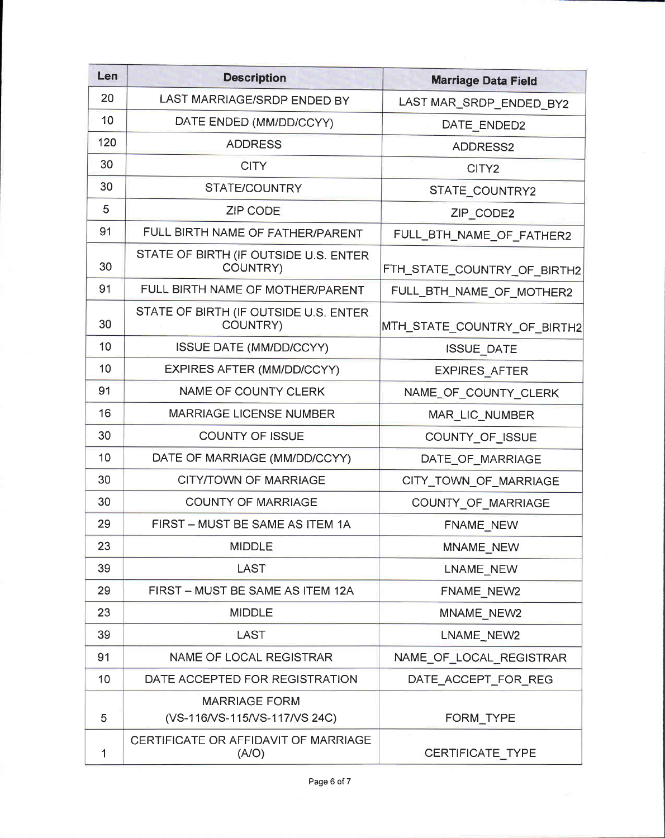| Len | <b>Description</b>                                    | <b>Marriage Data Field</b>  |  |
|-----|-------------------------------------------------------|-----------------------------|--|
| 20  | LAST MARRIAGE/SRDP ENDED BY                           | LAST MAR_SRDP_ENDED BY2     |  |
| 10  | DATE ENDED (MM/DD/CCYY)                               | DATE ENDED2                 |  |
| 120 | <b>ADDRESS</b>                                        | ADDRESS2                    |  |
| 30  | <b>CITY</b>                                           | CITY2                       |  |
| 30  | STATE/COUNTRY                                         | STATE_COUNTRY2              |  |
| 5   | <b>ZIP CODE</b>                                       | ZIP CODE2                   |  |
| 91  | FULL BIRTH NAME OF FATHER/PARENT                      | FULL_BTH_NAME_OF FATHER2    |  |
| 30  | STATE OF BIRTH (IF OUTSIDE U.S. ENTER<br>COUNTRY)     | FTH_STATE_COUNTRY_OF_BIRTH2 |  |
| 91  | FULL BIRTH NAME OF MOTHER/PARENT                      | FULL_BTH_NAME_OF_MOTHER2    |  |
| 30  | STATE OF BIRTH (IF OUTSIDE U.S. ENTER<br>COUNTRY)     | MTH_STATE_COUNTRY_OF_BIRTH2 |  |
| 10  | <b>ISSUE DATE (MM/DD/CCYY)</b>                        | ISSUE_DATE                  |  |
| 10  | EXPIRES AFTER (MM/DD/CCYY)                            | <b>EXPIRES AFTER</b>        |  |
| 91  | NAME OF COUNTY CLERK                                  | NAME_OF_COUNTY_CLERK        |  |
| 16  | <b>MARRIAGE LICENSE NUMBER</b>                        | MAR_LIC_NUMBER              |  |
| 30  | <b>COUNTY OF ISSUE</b>                                | COUNTY_OF_ISSUE             |  |
| 10  | DATE OF MARRIAGE (MM/DD/CCYY)                         | DATE_OF_MARRIAGE            |  |
| 30  | CITY/TOWN OF MARRIAGE                                 | CITY_TOWN_OF_MARRIAGE       |  |
| 30  | <b>COUNTY OF MARRIAGE</b>                             | COUNTY_OF_MARRIAGE          |  |
| 29  | FIRST - MUST BE SAME AS ITEM 1A                       | FNAME_NEW                   |  |
| 23  | <b>MIDDLE</b>                                         | <b>MNAME NEW</b>            |  |
| 39  | <b>LAST</b>                                           | LNAME_NEW                   |  |
| 29  | FIRST - MUST BE SAME AS ITEM 12A                      | FNAME_NEW2                  |  |
| 23  | <b>MIDDLE</b>                                         | MNAME_NEW2                  |  |
| 39  | <b>LAST</b>                                           | LNAME_NEW2                  |  |
| 91  | NAME OF LOCAL REGISTRAR                               | NAME_OF_LOCAL_REGISTRAR     |  |
| 10  | DATE ACCEPTED FOR REGISTRATION                        | DATE_ACCEPT_FOR_REG         |  |
| 5   | <b>MARRIAGE FORM</b><br>(VS-116/VS-115/VS-117/VS 24C) | FORM_TYPE                   |  |
| 1   | CERTIFICATE OR AFFIDAVIT OF MARRIAGE<br>(A/O)         | CERTIFICATE_TYPE            |  |